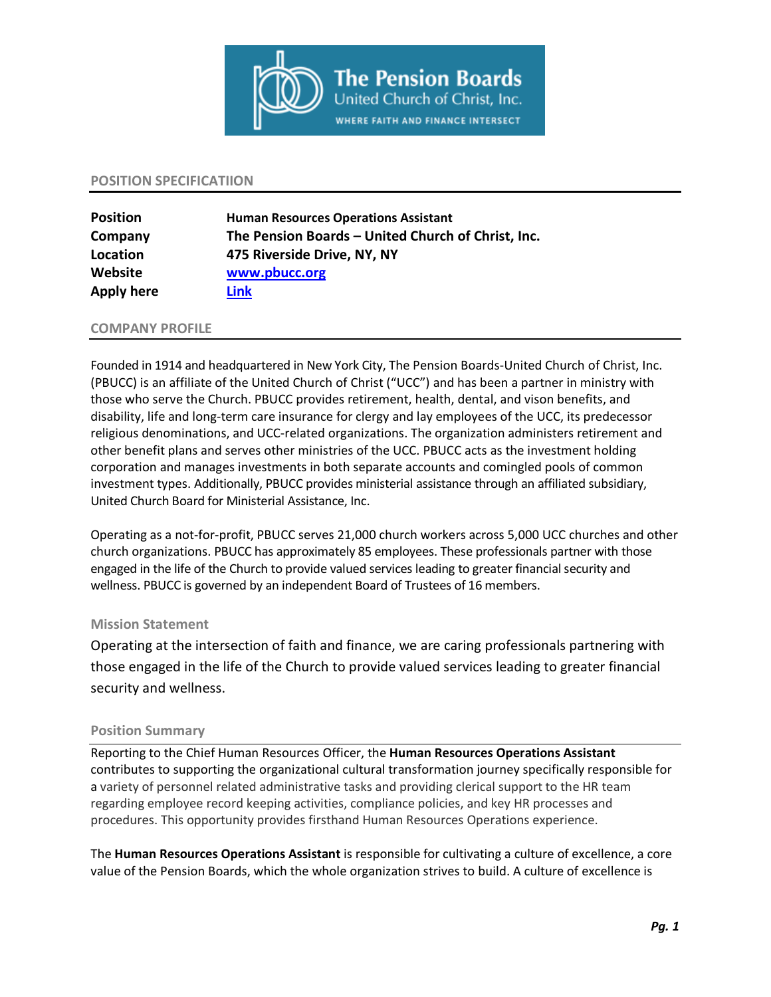

#### **POSITION SPECIFICATIION**

| <b>Position</b> | <b>Human Resources Operations Assistant</b>        |
|-----------------|----------------------------------------------------|
| Company         | The Pension Boards - United Church of Christ, Inc. |
| Location        | 475 Riverside Drive, NY, NY                        |
| Website         | www.pbucc.org                                      |
| Apply here      | Link                                               |

### **COMPANY PROFILE**

Founded in 1914 and headquartered in New York City, The Pension Boards-United Church of Christ, Inc. (PBUCC) is an affiliate of the United Church of Christ ("UCC") and has been a partner in ministry with those who serve the Church. PBUCC provides retirement, health, dental, and vison benefits, and disability, life and long-term care insurance for clergy and lay employees of the UCC, its predecessor religious denominations, and UCC-related organizations. The organization administers retirement and other benefit plans and serves other ministries of the UCC. PBUCC acts as the investment holding corporation and manages investments in both separate accounts and comingled pools of common investment types. Additionally, PBUCC provides ministerial assistance through an affiliated subsidiary, United Church Board for Ministerial Assistance, Inc.

Operating as a not-for-profit, PBUCC serves 21,000 church workers across 5,000 UCC churches and other church organizations. PBUCC has approximately 85 employees. These professionals partner with those engaged in the life of the Church to provide valued services leading to greater financial security and wellness. PBUCC is governed by an independent Board of Trustees of 16 members.

## **Mission Statement**

Operating at the intersection of faith and finance, we are caring professionals partnering with those engaged in the life of the Church to provide valued services leading to greater financial security and wellness.

## **Position Summary**

Reporting to the Chief Human Resources Officer, the **Human Resources Operations Assistant**  contributes to supporting the organizational cultural transformation journey specifically responsible for a variety of personnel related administrative tasks and providing clerical support to the HR team regarding employee record keeping activities, compliance policies, and key HR processes and procedures. This opportunity provides firsthand Human Resources Operations experience.

The **Human Resources Operations Assistant** is responsible for cultivating a culture of excellence, a core value of the Pension Boards, which the whole organization strives to build. A culture of excellence is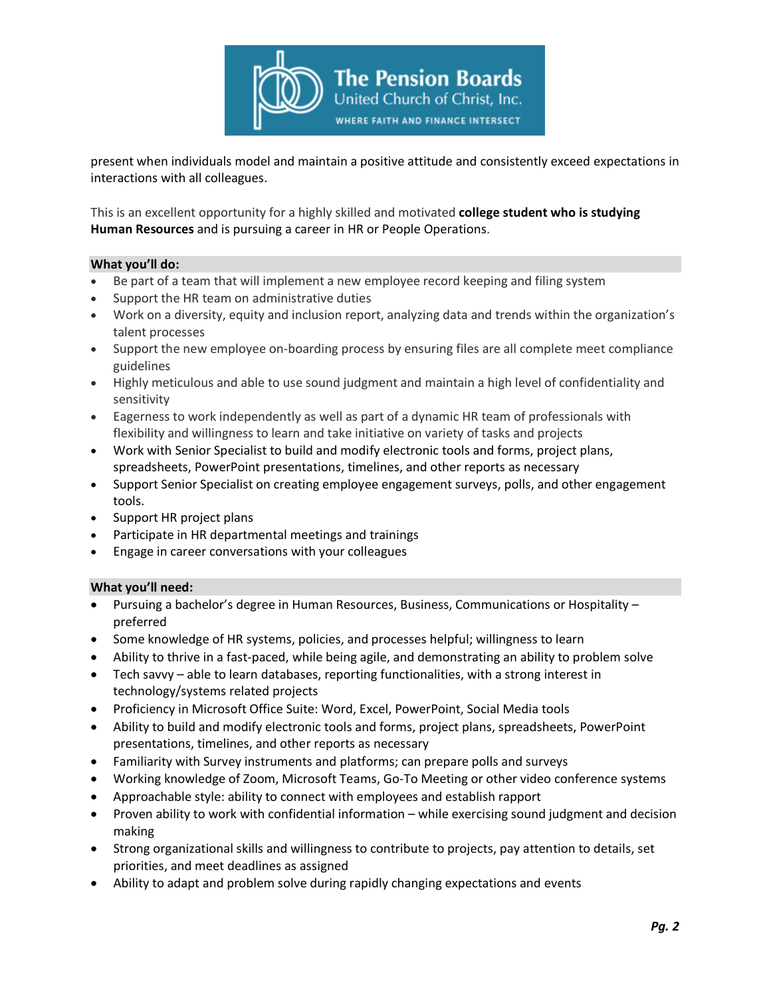

present when individuals model and maintain a positive attitude and consistently exceed expectations in interactions with all colleagues.

This is an excellent opportunity for a highly skilled and motivated **college student who is studying Human Resources** and is pursuing a career in HR or People Operations.

### **What you'll do:**

- Be part of a team that will implement a new employee record keeping and filing system
- Support the HR team on administrative duties
- Work on a diversity, equity and inclusion report, analyzing data and trends within the organization's talent processes
- Support the new employee on-boarding process by ensuring files are all complete meet compliance guidelines
- Highly meticulous and able to use sound judgment and maintain a high level of confidentiality and sensitivity
- Eagerness to work independently as well as part of a dynamic HR team of professionals with flexibility and willingness to learn and take initiative on variety of tasks and projects
- Work with Senior Specialist to build and modify electronic tools and forms, project plans, spreadsheets, PowerPoint presentations, timelines, and other reports as necessary
- Support Senior Specialist on creating employee engagement surveys, polls, and other engagement tools.
- Support HR project plans
- Participate in HR departmental meetings and trainings
- Engage in career conversations with your colleagues

## **What you'll need:**

- Pursuing a bachelor's degree in Human Resources, Business, Communications or Hospitality preferred
- Some knowledge of HR systems, policies, and processes helpful; willingness to learn
- Ability to thrive in a fast-paced, while being agile, and demonstrating an ability to problem solve
- Tech savvy able to learn databases, reporting functionalities, with a strong interest in technology/systems related projects
- Proficiency in Microsoft Office Suite: Word, Excel, PowerPoint, Social Media tools
- Ability to build and modify electronic tools and forms, project plans, spreadsheets, PowerPoint presentations, timelines, and other reports as necessary
- Familiarity with Survey instruments and platforms; can prepare polls and surveys
- Working knowledge of Zoom, Microsoft Teams, Go-To Meeting or other video conference systems
- Approachable style: ability to connect with employees and establish rapport
- Proven ability to work with confidential information while exercising sound judgment and decision making
- Strong organizational skills and willingness to contribute to projects, pay attention to details, set priorities, and meet deadlines as assigned
- Ability to adapt and problem solve during rapidly changing expectations and events